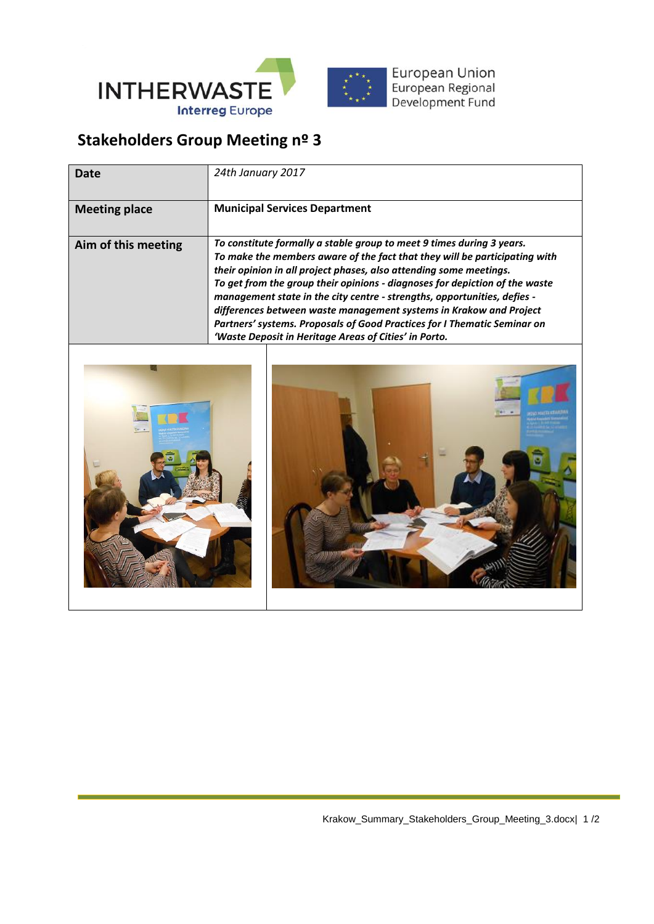

## **Stakeholders Group Meeting nº 3**

| Date                 | 24th January 2017                                                                                                                                                                                                                                                                                                                                                                                                                                                                                                                                                                               |
|----------------------|-------------------------------------------------------------------------------------------------------------------------------------------------------------------------------------------------------------------------------------------------------------------------------------------------------------------------------------------------------------------------------------------------------------------------------------------------------------------------------------------------------------------------------------------------------------------------------------------------|
| <b>Meeting place</b> | <b>Municipal Services Department</b>                                                                                                                                                                                                                                                                                                                                                                                                                                                                                                                                                            |
| Aim of this meeting  | To constitute formally a stable group to meet 9 times during 3 years.<br>To make the members aware of the fact that they will be participating with<br>their opinion in all project phases, also attending some meetings.<br>To get from the group their opinions - diagnoses for depiction of the waste<br>management state in the city centre - strengths, opportunities, defies -<br>differences between waste management systems in Krakow and Project<br>Partners' systems. Proposals of Good Practices for I Thematic Seminar on<br>'Waste Deposit in Heritage Areas of Cities' in Porto. |